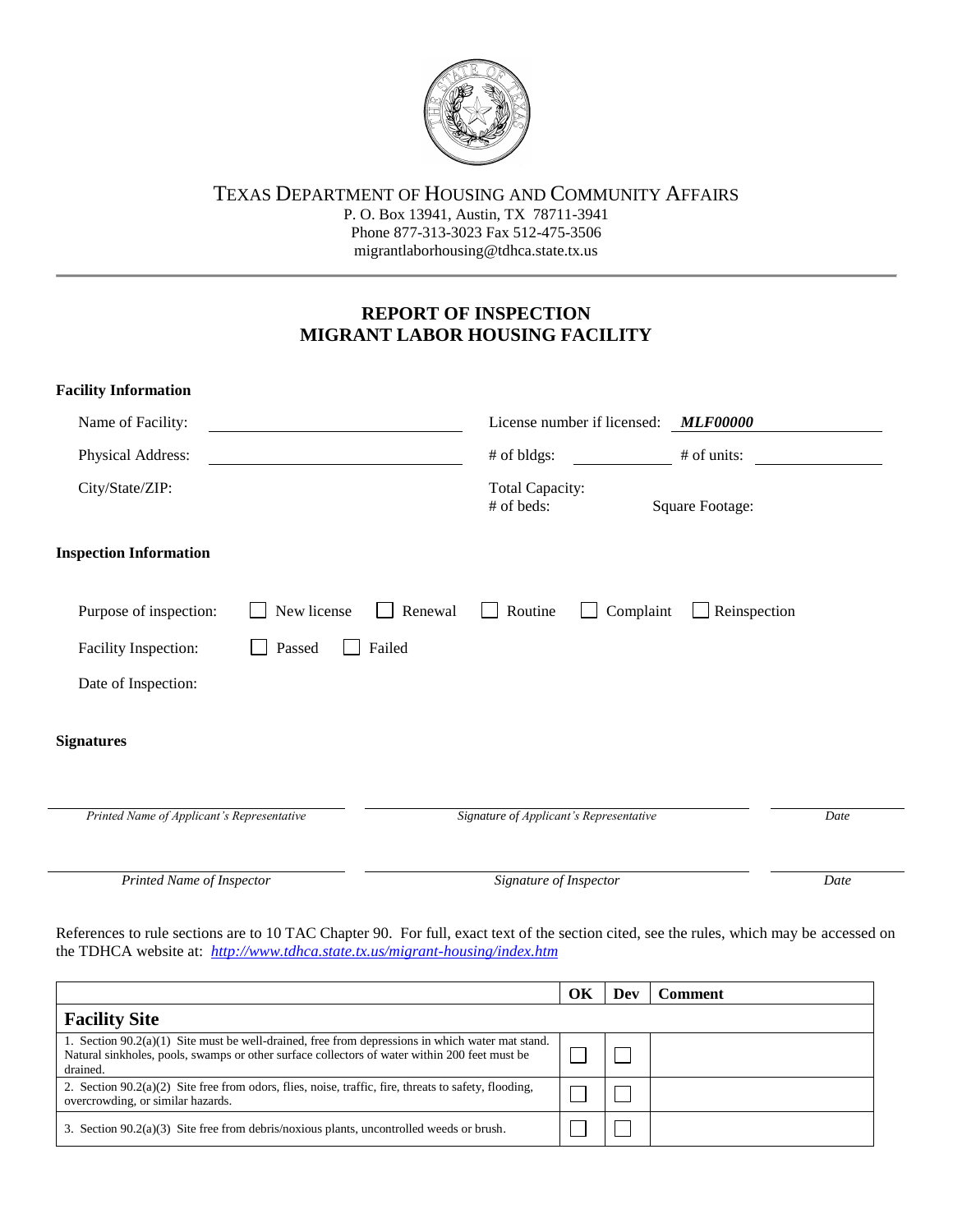

## TEXAS DEPARTMENT OF HOUSING AND COMMUNITY AFFAIRS

P. O. Box 13941, Austin, TX 78711-3941 Phone 877-313-3023 Fax 512-475-3506 migrantlaborhousing@tdhca.state.tx.us

## **REPORT OF INSPECTION MIGRANT LABOR HOUSING FACILITY**

| <b>Facility Information</b>                      |                                                         |
|--------------------------------------------------|---------------------------------------------------------|
| Name of Facility:                                | License number if licensed:<br><b>MLF00000</b>          |
| Physical Address:                                | # of bldgs:<br># of units:                              |
| City/State/ZIP:                                  | <b>Total Capacity:</b><br># of beds:<br>Square Footage: |
| <b>Inspection Information</b>                    |                                                         |
| New license<br>Purpose of inspection:<br>Renewal | Reinspection<br>Routine<br>Complaint<br>$\mathbf{I}$    |
| Failed<br>Facility Inspection:<br>Passed         |                                                         |
| Date of Inspection:                              |                                                         |
| <b>Signatures</b>                                |                                                         |
| Printed Name of Applicant's Representative       | Signature of Applicant's Representative<br>Date         |
|                                                  |                                                         |
| Printed Name of Inspector                        | Date<br>Signature of Inspector                          |

References to rule sections are to 10 TAC Chapter 90. For full, exact text of the section cited, see the rules, which may be accessed on the TDHCA website at: *http://www.tdhca.state.tx.us/migrant-housing/index.htm*

|                                                                                                                                                                                                                 | OК | Dev | <b>Comment</b> |  |
|-----------------------------------------------------------------------------------------------------------------------------------------------------------------------------------------------------------------|----|-----|----------------|--|
| <b>Facility Site</b>                                                                                                                                                                                            |    |     |                |  |
| 1. Section $90.2(a)(1)$ Site must be well-drained, free from depressions in which water mat stand.<br>Natural sinkholes, pools, swamps or other surface collectors of water within 200 feet must be<br>drained. |    |     |                |  |
| 2. Section $90.2(a)(2)$ Site free from odors, flies, noise, traffic, fire, threats to safety, flooding,<br>overcrowding, or similar hazards.                                                                    |    |     |                |  |
| 3. Section $90.2(a)(3)$ Site free from debris/noxious plants, uncontrolled weeds or brush.                                                                                                                      |    |     |                |  |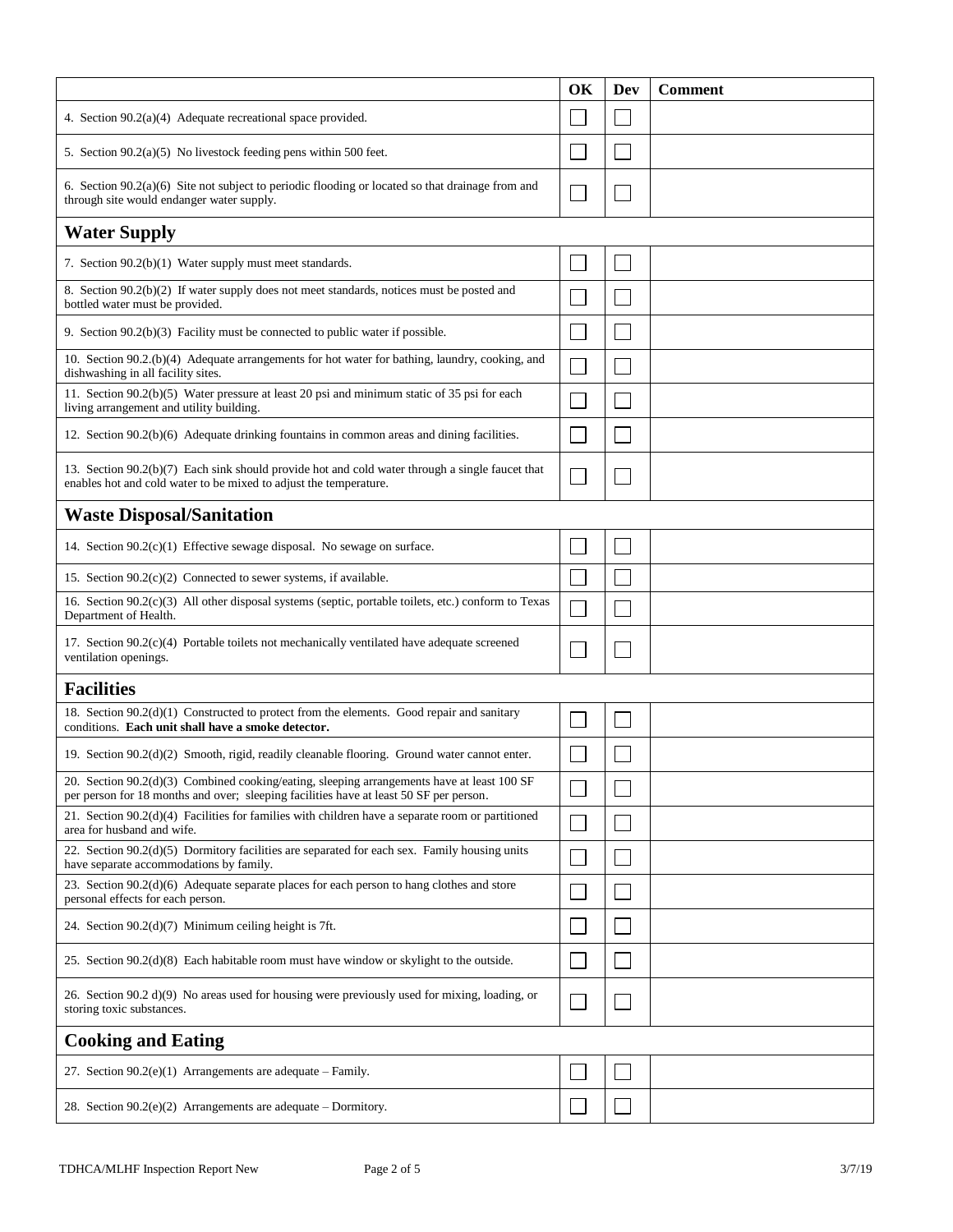|                                                                                                                                                                                      | OK | Dev | <b>Comment</b> |  |
|--------------------------------------------------------------------------------------------------------------------------------------------------------------------------------------|----|-----|----------------|--|
| 4. Section 90.2(a)(4) Adequate recreational space provided.                                                                                                                          |    |     |                |  |
| 5. Section $90.2(a)(5)$ No livestock feeding pens within 500 feet.                                                                                                                   |    |     |                |  |
| 6. Section $90.2(a)(6)$ Site not subject to periodic flooding or located so that drainage from and<br>through site would endanger water supply.                                      |    |     |                |  |
| <b>Water Supply</b>                                                                                                                                                                  |    |     |                |  |
| 7. Section 90.2(b)(1) Water supply must meet standards.                                                                                                                              |    |     |                |  |
| 8. Section 90.2(b)(2) If water supply does not meet standards, notices must be posted and<br>bottled water must be provided.                                                         |    |     |                |  |
| 9. Section 90.2(b)(3) Facility must be connected to public water if possible.                                                                                                        |    |     |                |  |
| 10. Section 90.2.(b)(4) Adequate arrangements for hot water for bathing, laundry, cooking, and<br>dishwashing in all facility sites.                                                 |    |     |                |  |
| 11. Section 90.2(b)(5) Water pressure at least 20 psi and minimum static of 35 psi for each<br>living arrangement and utility building.                                              |    |     |                |  |
| 12. Section 90.2(b)(6) Adequate drinking fountains in common areas and dining facilities.                                                                                            |    |     |                |  |
| 13. Section 90.2(b)(7) Each sink should provide hot and cold water through a single faucet that<br>enables hot and cold water to be mixed to adjust the temperature.                 |    |     |                |  |
| <b>Waste Disposal/Sanitation</b>                                                                                                                                                     |    |     |                |  |
| 14. Section $90.2(c)(1)$ Effective sewage disposal. No sewage on surface.                                                                                                            |    |     |                |  |
| 15. Section 90.2(c)(2) Connected to sewer systems, if available.                                                                                                                     |    |     |                |  |
| 16. Section 90.2(c)(3) All other disposal systems (septic, portable toilets, etc.) conform to Texas<br>Department of Health.                                                         |    |     |                |  |
| 17. Section $90.2(c)(4)$ Portable toilets not mechanically ventilated have adequate screened<br>ventilation openings.                                                                |    |     |                |  |
| <b>Facilities</b>                                                                                                                                                                    |    |     |                |  |
| 18. Section 90.2(d)(1) Constructed to protect from the elements. Good repair and sanitary<br>conditions. Each unit shall have a smoke detector.                                      |    |     |                |  |
| 19. Section $90.2(d)(2)$ Smooth, rigid, readily cleanable flooring. Ground water cannot enter.                                                                                       |    |     |                |  |
| 20. Section 90.2(d)(3) Combined cooking/eating, sleeping arrangements have at least 100 SF<br>per person for 18 months and over; sleeping facilities have at least 50 SF per person. |    |     |                |  |
| 21. Section 90.2(d)(4) Facilities for families with children have a separate room or partitioned<br>area for husband and wife.                                                       |    |     |                |  |
| 22. Section $90.2(d)(5)$ Dormitory facilities are separated for each sex. Family housing units<br>have separate accommodations by family.                                            |    |     |                |  |
| 23. Section $90.2(d)(6)$ Adequate separate places for each person to hang clothes and store<br>personal effects for each person.                                                     |    |     |                |  |
| 24. Section $90.2(d)(7)$ Minimum ceiling height is 7ft.                                                                                                                              |    |     |                |  |
| 25. Section $90.2(d)(8)$ Each habitable room must have window or skylight to the outside.                                                                                            |    |     |                |  |
| 26. Section 90.2 d)(9) No areas used for housing were previously used for mixing, loading, or<br>storing toxic substances.                                                           |    |     |                |  |
| <b>Cooking and Eating</b>                                                                                                                                                            |    |     |                |  |
| 27. Section $90.2(e)(1)$ Arrangements are adequate – Family.                                                                                                                         |    |     |                |  |
| 28. Section $90.2(e)(2)$ Arrangements are adequate – Dormitory.                                                                                                                      |    |     |                |  |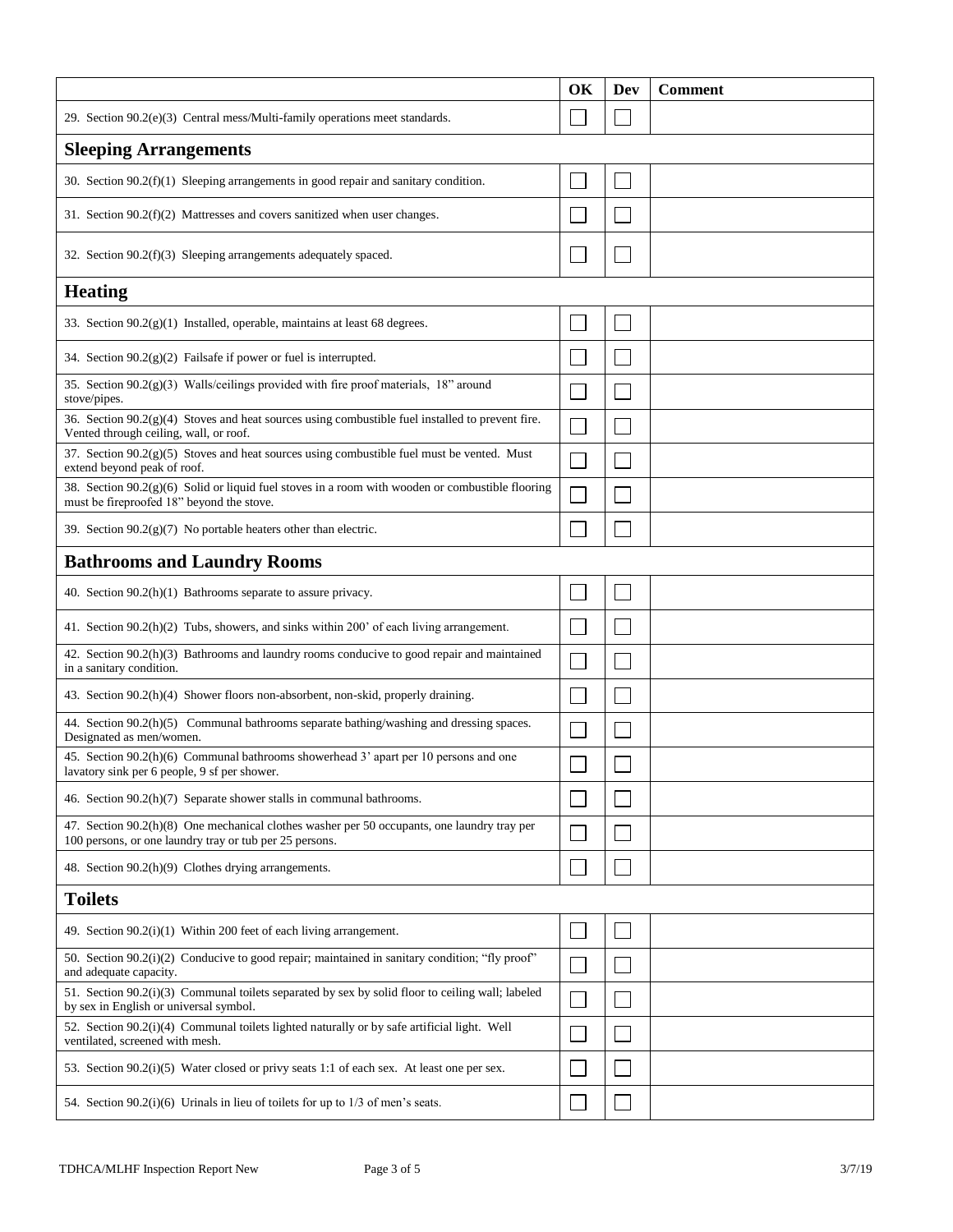|                                                                                                                                                        | OK | <b>Dev</b> | <b>Comment</b> |  |  |
|--------------------------------------------------------------------------------------------------------------------------------------------------------|----|------------|----------------|--|--|
| 29. Section 90.2(e)(3) Central mess/Multi-family operations meet standards.                                                                            |    |            |                |  |  |
| <b>Sleeping Arrangements</b>                                                                                                                           |    |            |                |  |  |
| 30. Section $90.2(f)(1)$ Sleeping arrangements in good repair and sanitary condition.                                                                  |    |            |                |  |  |
| 31. Section $90.2(f)(2)$ Mattresses and covers sanitized when user changes.                                                                            |    |            |                |  |  |
| 32. Section $90.2(f)(3)$ Sleeping arrangements adequately spaced.                                                                                      |    |            |                |  |  |
| <b>Heating</b>                                                                                                                                         |    |            |                |  |  |
| 33. Section $90.2(g)(1)$ Installed, operable, maintains at least 68 degrees.                                                                           |    |            |                |  |  |
| 34. Section $90.2(g)(2)$ Fails afe if power or fuel is interrupted.                                                                                    |    |            |                |  |  |
| 35. Section 90.2(g)(3) Walls/ceilings provided with fire proof materials, 18" around<br>stove/pipes.                                                   |    |            |                |  |  |
| 36. Section $90.2(g)(4)$ Stoves and heat sources using combustible fuel installed to prevent fire.<br>Vented through ceiling, wall, or roof.           |    |            |                |  |  |
| 37. Section 90.2(g)(5) Stoves and heat sources using combustible fuel must be vented. Must<br>extend beyond peak of roof.                              |    |            |                |  |  |
| 38. Section $90.2(g)(6)$ Solid or liquid fuel stoves in a room with wooden or combustible flooring<br>must be fireproofed 18" beyond the stove.        |    |            |                |  |  |
| 39. Section $90.2(g)(7)$ No portable heaters other than electric.                                                                                      |    |            |                |  |  |
| <b>Bathrooms and Laundry Rooms</b>                                                                                                                     |    |            |                |  |  |
| 40. Section 90.2(h)(1) Bathrooms separate to assure privacy.                                                                                           |    |            |                |  |  |
| 41. Section $90.2(h)(2)$ Tubs, showers, and sinks within 200' of each living arrangement.                                                              |    |            |                |  |  |
| 42. Section 90.2(h)(3) Bathrooms and laundry rooms conducive to good repair and maintained<br>in a sanitary condition.                                 |    |            |                |  |  |
| 43. Section 90.2(h)(4) Shower floors non-absorbent, non-skid, properly draining.                                                                       |    |            |                |  |  |
| 44. Section 90.2(h)(5) Communal bathrooms separate bathing/washing and dressing spaces.<br>Designated as men/women.                                    |    |            |                |  |  |
| 45. Section 90.2(h)(6) Communal bathrooms showerhead 3' apart per 10 persons and one<br>lavatory sink per 6 people, 9 sf per shower.                   |    |            |                |  |  |
| 46. Section 90.2(h)(7) Separate shower stalls in communal bathrooms.                                                                                   |    |            |                |  |  |
| 47. Section 90.2(h)(8) One mechanical clothes washer per 50 occupants, one laundry tray per<br>100 persons, or one laundry tray or tub per 25 persons. |    |            |                |  |  |
| 48. Section 90.2(h)(9) Clothes drying arrangements.                                                                                                    |    |            |                |  |  |
| <b>Toilets</b>                                                                                                                                         |    |            |                |  |  |
| 49. Section $90.2(i)(1)$ Within 200 feet of each living arrangement.                                                                                   |    |            |                |  |  |
| 50. Section 90.2(i)(2) Conducive to good repair; maintained in sanitary condition; "fly proof"<br>and adequate capacity.                               |    |            |                |  |  |
| 51. Section 90.2(i)(3) Communal toilets separated by sex by solid floor to ceiling wall; labeled<br>by sex in English or universal symbol.             |    |            |                |  |  |
| 52. Section 90.2(i)(4) Communal toilets lighted naturally or by safe artificial light. Well<br>ventilated, screened with mesh.                         |    |            |                |  |  |
| 53. Section 90.2(i)(5) Water closed or privy seats 1:1 of each sex. At least one per sex.                                                              |    |            |                |  |  |
| 54. Section 90.2(i)(6) Urinals in lieu of toilets for up to $1/3$ of men's seats.                                                                      |    |            |                |  |  |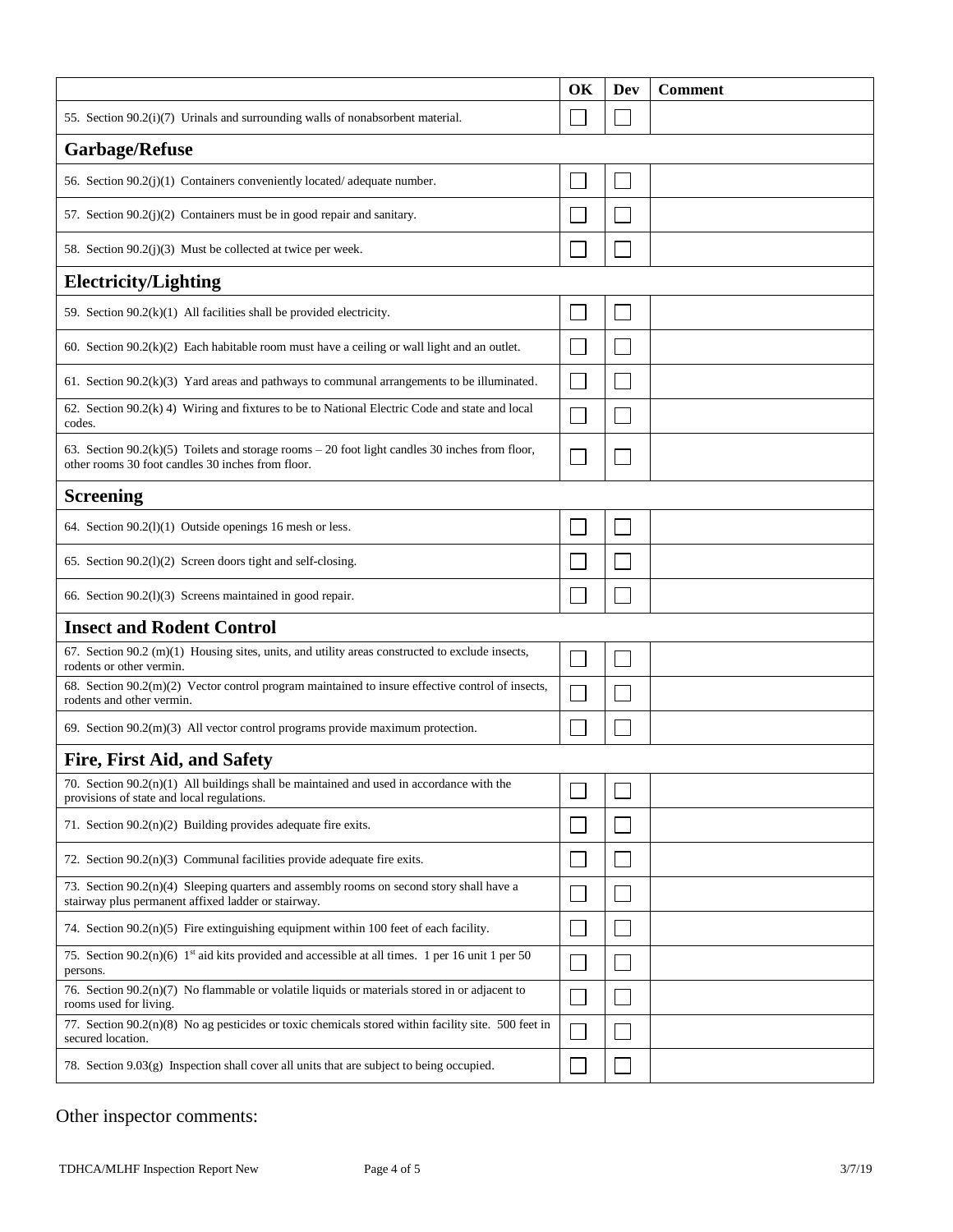|                                                                                                                                                        | OK | Dev | <b>Comment</b> |
|--------------------------------------------------------------------------------------------------------------------------------------------------------|----|-----|----------------|
| 55. Section 90.2(i)(7) Urinals and surrounding walls of nonabsorbent material.                                                                         |    |     |                |
| <b>Garbage/Refuse</b>                                                                                                                                  |    |     |                |
| 56. Section 90.2(j)(1) Containers conveniently located/adequate number.                                                                                |    |     |                |
| 57. Section 90.2(j)(2) Containers must be in good repair and sanitary.                                                                                 |    |     |                |
| 58. Section 90.2(j)(3) Must be collected at twice per week.                                                                                            |    |     |                |
| <b>Electricity/Lighting</b>                                                                                                                            |    |     |                |
| 59. Section $90.2(k)(1)$ All facilities shall be provided electricity.                                                                                 |    |     |                |
| 60. Section $90.2(k)(2)$ Each habitable room must have a ceiling or wall light and an outlet.                                                          |    |     |                |
| 61. Section 90.2(k)(3) Yard areas and pathways to communal arrangements to be illuminated.                                                             |    |     |                |
| 62. Section $90.2(k)$ 4) Wiring and fixtures to be to National Electric Code and state and local<br>codes.                                             |    |     |                |
| 63. Section $90.2(k)(5)$ Toilets and storage rooms $-20$ foot light candles 30 inches from floor,<br>other rooms 30 foot candles 30 inches from floor. |    |     |                |
| <b>Screening</b>                                                                                                                                       |    |     |                |
| 64. Section $90.2(1)(1)$ Outside openings 16 mesh or less.                                                                                             |    |     |                |
| 65. Section 90.2(1)(2) Screen doors tight and self-closing.                                                                                            |    |     |                |
| 66. Section 90.2(1)(3) Screens maintained in good repair.                                                                                              |    |     |                |
| <b>Insect and Rodent Control</b>                                                                                                                       |    |     |                |
| 67. Section $90.2 \text{ (m)}(1)$ Housing sites, units, and utility areas constructed to exclude insects,<br>rodents or other vermin.                  |    |     |                |
| 68. Section $90.2(m)(2)$ Vector control program maintained to insure effective control of insects,<br>rodents and other vermin.                        |    |     |                |
| 69. Section $90.2(m)(3)$ All vector control programs provide maximum protection.                                                                       |    |     |                |
| <b>Fire, First Aid, and Safety</b>                                                                                                                     |    |     |                |
| 70. Section $90.2(n)(1)$ All buildings shall be maintained and used in accordance with the<br>provisions of state and local regulations.               |    |     |                |
| 71. Section $90.2(n)(2)$ Building provides adequate fire exits.                                                                                        |    |     |                |
| 72. Section $90.2(n)(3)$ Communal facilities provide adequate fire exits.                                                                              |    |     |                |
| 73. Section $90.2(n)(4)$ Sleeping quarters and assembly rooms on second story shall have a<br>stairway plus permanent affixed ladder or stairway.      |    |     |                |
| 74. Section $90.2(n)(5)$ Fire extinguishing equipment within 100 feet of each facility.                                                                |    |     |                |
| 75. Section 90.2(n)(6) 1st aid kits provided and accessible at all times. 1 per 16 unit 1 per 50<br>persons.                                           |    |     |                |
| 76. Section $90.2(n)(7)$ No flammable or volatile liquids or materials stored in or adjacent to<br>rooms used for living.                              |    |     |                |
| 77. Section 90.2(n)(8) No ag pesticides or toxic chemicals stored within facility site. 500 feet in<br>secured location.                               |    |     |                |
| 78. Section $9.03(g)$ Inspection shall cover all units that are subject to being occupied.                                                             |    |     |                |

## Other inspector comments: